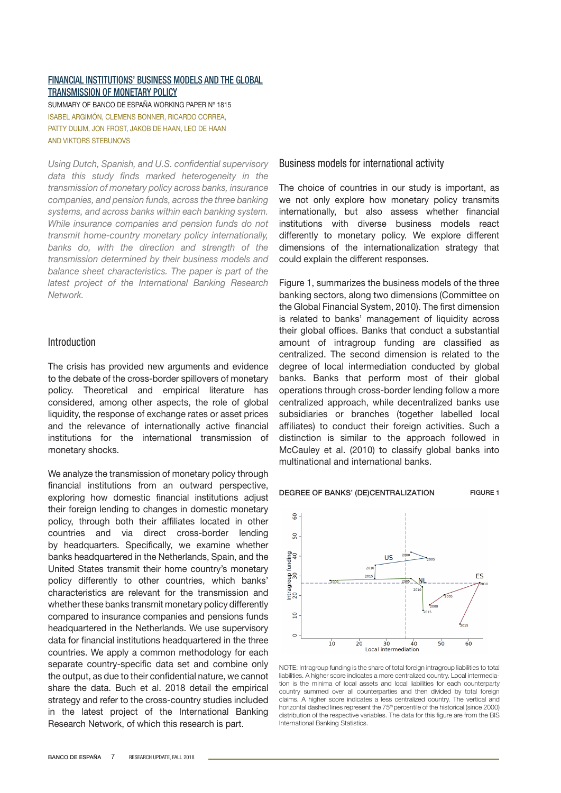## [Financial institutions' business models and the global](http://www.bde.es/webbde/SES/Secciones/Publicaciones/PublicacionesSeriadas/DocumentosTrabajo/18/Files/dt1815e.pdf) [transmission of monetary policy](http://www.bde.es/webbde/SES/Secciones/Publicaciones/PublicacionesSeriadas/DocumentosTrabajo/18/Files/dt1815e.pdf)

SUMMARY OF BANCO DE ESPAÑA WORKING PAPER Nº 1815 ISABEL Argimón, CLEMENS Bonner, Ricardo Correa, Patty Duijm, Jon Frost, Jakob de Haan, Leo de Haan AND Viktors Stebunovs

*Using Dutch, Spanish, and U.S. confidential supervisory data this study finds marked heterogeneity in the transmission of monetary policy across banks, insurance companies, and pension funds, across the three banking systems, and across banks within each banking system. While insurance companies and pension funds do not transmit home-country monetary policy internationally, banks do, with the direction and strength of the transmission determined by their business models and balance sheet characteristics. The paper is part of the latest project of the International Banking Research Network.* 

## Introduction

The crisis has provided new arguments and evidence to the debate of the cross-border spillovers of monetary policy. Theoretical and empirical literature has considered, among other aspects, the role of global liquidity, the response of exchange rates or asset prices and the relevance of internationally active financial institutions for the international transmission of monetary shocks.

We analyze the transmission of monetary policy through financial institutions from an outward perspective, exploring how domestic financial institutions adjust their foreign lending to changes in domestic monetary policy, through both their affiliates located in other countries and via direct cross-border lending by headquarters. Specifically, we examine whether banks headquartered in the Netherlands, Spain, and the United States transmit their home country's monetary policy differently to other countries, which banks' characteristics are relevant for the transmission and whether these banks transmit monetary policy differently compared to insurance companies and pensions funds headquartered in the Netherlands. We use supervisory data for financial institutions headquartered in the three countries. We apply a common methodology for each separate country-specific data set and combine only the output, as due to their confidential nature, we cannot share the data. Buch et al. 2018 detail the empirical strategy and refer to the cross-country studies included in the latest project of the International Banking Research Network, of which this research is part.

## Business models for international activity

The choice of countries in our study is important, as we not only explore how monetary policy transmits internationally, but also assess whether financial institutions with diverse business models react differently to monetary policy. We explore different dimensions of the internationalization strategy that could explain the different responses.

Figure 1, summarizes the business models of the three banking sectors, along two dimensions (Committee on the Global Financial System, 2010). The first dimension is related to banks' management of liquidity across their global offices. Banks that conduct a substantial amount of intragroup funding are classified as centralized. The second dimension is related to the degree of local intermediation conducted by global banks. Banks that perform most of their global operations through cross-border lending follow a more centralized approach, while decentralized banks use subsidiaries or branches (together labelled local affiliates) to conduct their foreign activities. Such a distinction is similar to the approach followed in McCauley et al. (2010) to classify global banks into multinational and international banks.

#### DEGREE OF BANKS' (DE)CENTRALIZATION FIGURE 1



NOTE: Intragroup funding is the share of total foreign intragroup liabilities to total liabilities. A higher score indicates a more centralized country. Local intermediation is the minima of local assets and local liabilities for each counterparty country summed over all counterparties and then divided by total foreign claims. A higher score indicates a less centralized country. The vertical and horizontal dashed lines represent the 75<sup>th</sup> percentile of the historical (since 2000) distribution of the respective variables. The data for this figure are from the BIS International Banking Statistics.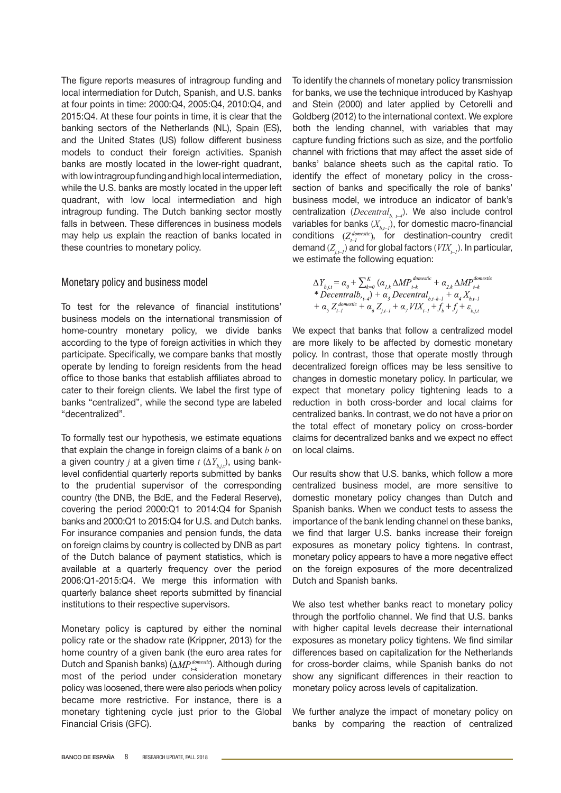The figure reports measures of intragroup funding and local intermediation for Dutch, Spanish, and U.S. banks at four points in time: 2000:Q4, 2005:Q4, 2010:Q4, and 2015:Q4. At these four points in time, it is clear that the banking sectors of the Netherlands (NL), Spain (ES), and the United States (US) follow different business models to conduct their foreign activities. Spanish banks are mostly located in the lower-right quadrant, with low intragroup funding and high local intermediation, while the U.S. banks are mostly located in the upper left quadrant, with low local intermediation and high intragroup funding. The Dutch banking sector mostly falls in between. These differences in business models may help us explain the reaction of banks located in these countries to monetary policy.

## Monetary policy and business model

To test for the relevance of financial institutions' business models on the international transmission of home-country monetary policy, we divide banks according to the type of foreign activities in which they participate. Specifically, we compare banks that mostly operate by lending to foreign residents from the head office to those banks that establish affiliates abroad to cater to their foreign clients. We label the first type of banks "centralized", while the second type are labeled "decentralized".

To formally test our hypothesis, we estimate equations that explain the change in foreign claims of a bank *b* on a given country *j* at a given time *t* (*∆Yb,j,*<sup>t</sup> ), using banklevel confidential quarterly reports submitted by banks to the prudential supervisor of the corresponding country (the DNB, the BdE, and the Federal Reserve), covering the period 2000:Q1 to 2014:Q4 for Spanish banks and 2000:Q1 to 2015:Q4 for U.S. and Dutch banks. For insurance companies and pension funds, the data on foreign claims by country is collected by DNB as part of the Dutch balance of payment statistics, which is available at a quarterly frequency over the period 2006:Q1-2015:Q4. We merge this information with quarterly balance sheet reports submitted by financial institutions to their respective supervisors.

Monetary policy is captured by either the nominal policy rate or the shadow rate (Krippner, 2013) for the home country of a given bank (the euro area rates for Dutch and Spanish banks) ( $\Delta MP_{\text{L}}^{domestic}$ ). Although during most of the period under consideration monetary policy was loosened, there were also periods when policy became more restrictive. For instance, there is a monetary tightening cycle just prior to the Global Financial Crisis (GFC).

To identify the channels of monetary policy transmission for banks, we use the technique introduced by Kashyap and Stein (2000) and later applied by Cetorelli and Goldberg (2012) to the international context. We explore both the lending channel, with variables that may capture funding frictions such as size, and the portfolio channel with frictions that may affect the asset side of banks' balance sheets such as the capital ratio. To identify the effect of monetary policy in the crosssection of banks and specifically the role of banks' business model, we introduce an indicator of bank's centralization (*Decentral<sub>b tel</sub>*). We also include control variables for banks  $(X_{b,t-1})$ , for domestic macro-financial conditions  $(Z_{t-1}^{domestic})$ , for destination-country credit demand  $(Z_{i,t-1})$  and for global factors  $(VIX_{i-1})$ . In particular, we estimate the following equation:

$$
\Delta Y_{b,j,t} = \alpha_0 + \sum_{k=0}^{K} (\alpha_{j,k} \Delta MP_{i-k}^{domestic} + \alpha_{2,k} \Delta MP_{i-k}^{domestic})
$$
  
\n\* Decentralb, <sub>t=4</sub>} +  $\alpha_3$  Decentralb, <sub>t=k-1</sub> +  $\alpha_4 X_{b,t-1}$   
\n+  $\alpha_5 Z_{i-1}^{domistic} + \alpha_6 Z_{i,t-1} + \alpha_7 VIX_{t-1} + f_b + f_i + \varepsilon_{b,i,t}$ 

We expect that banks that follow a centralized model are more likely to be affected by domestic monetary policy. In contrast, those that operate mostly through decentralized foreign offices may be less sensitive to changes in domestic monetary policy. In particular, we expect that monetary policy tightening leads to a reduction in both cross-border and local claims for centralized banks. In contrast, we do not have a prior on the total effect of monetary policy on cross-border claims for decentralized banks and we expect no effect on local claims.

Our results show that U.S. banks, which follow a more centralized business model, are more sensitive to domestic monetary policy changes than Dutch and Spanish banks. When we conduct tests to assess the importance of the bank lending channel on these banks, we find that larger U.S. banks increase their foreign exposures as monetary policy tightens. In contrast, monetary policy appears to have a more negative effect on the foreign exposures of the more decentralized Dutch and Spanish banks.

We also test whether banks react to monetary policy through the portfolio channel. We find that U.S. banks with higher capital levels decrease their international exposures as monetary policy tightens. We find similar differences based on capitalization for the Netherlands for cross-border claims, while Spanish banks do not show any significant differences in their reaction to monetary policy across levels of capitalization.

We further analyze the impact of monetary policy on banks by comparing the reaction of centralized